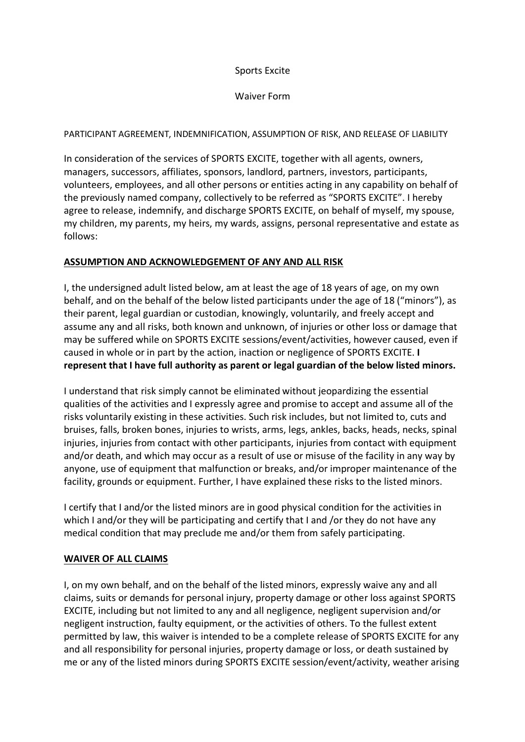# Sports Excite

#### Waiver Form

# PARTICIPANT AGREEMENT, INDEMNIFICATION, ASSUMPTION OF RISK, AND RELEASE OF LIABILITY

In consideration of the services of SPORTS EXCITE, together with all agents, owners, managers, successors, affiliates, sponsors, landlord, partners, investors, participants, volunteers, employees, and all other persons or entities acting in any capability on behalf of the previously named company, collectively to be referred as "SPORTS EXCITE". I hereby agree to release, indemnify, and discharge SPORTS EXCITE, on behalf of myself, my spouse, my children, my parents, my heirs, my wards, assigns, personal representative and estate as follows:

## **ASSUMPTION AND ACKNOWLEDGEMENT OF ANY AND ALL RISK**

I, the undersigned adult listed below, am at least the age of 18 years of age, on my own behalf, and on the behalf of the below listed participants under the age of 18 ("minors"), as their parent, legal guardian or custodian, knowingly, voluntarily, and freely accept and assume any and all risks, both known and unknown, of injuries or other loss or damage that may be suffered while on SPORTS EXCITE sessions/event/activities, however caused, even if caused in whole or in part by the action, inaction or negligence of SPORTS EXCITE. **I represent that I have full authority as parent or legal guardian of the below listed minors.**

I understand that risk simply cannot be eliminated without jeopardizing the essential qualities of the activities and I expressly agree and promise to accept and assume all of the risks voluntarily existing in these activities. Such risk includes, but not limited to, cuts and bruises, falls, broken bones, injuries to wrists, arms, legs, ankles, backs, heads, necks, spinal injuries, injuries from contact with other participants, injuries from contact with equipment and/or death, and which may occur as a result of use or misuse of the facility in any way by anyone, use of equipment that malfunction or breaks, and/or improper maintenance of the facility, grounds or equipment. Further, I have explained these risks to the listed minors.

I certify that I and/or the listed minors are in good physical condition for the activities in which I and/or they will be participating and certify that I and /or they do not have any medical condition that may preclude me and/or them from safely participating.

# **WAIVER OF ALL CLAIMS**

I, on my own behalf, and on the behalf of the listed minors, expressly waive any and all claims, suits or demands for personal injury, property damage or other loss against SPORTS EXCITE, including but not limited to any and all negligence, negligent supervision and/or negligent instruction, faulty equipment, or the activities of others. To the fullest extent permitted by law, this waiver is intended to be a complete release of SPORTS EXCITE for any and all responsibility for personal injuries, property damage or loss, or death sustained by me or any of the listed minors during SPORTS EXCITE session/event/activity, weather arising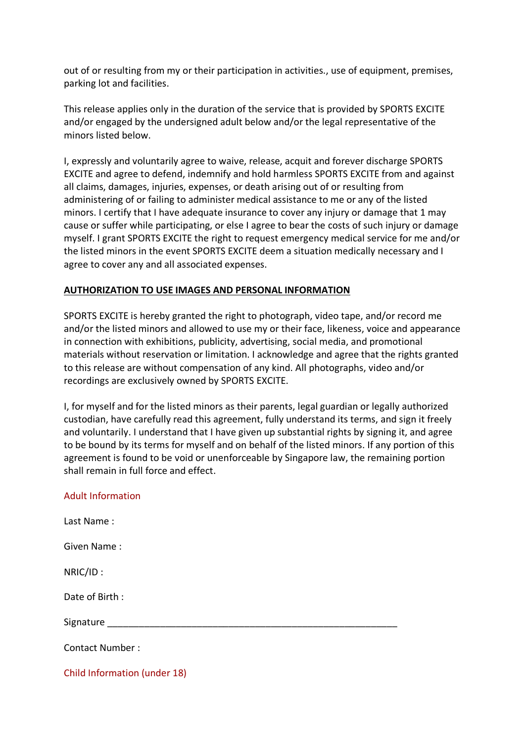out of or resulting from my or their participation in activities., use of equipment, premises, parking lot and facilities.

This release applies only in the duration of the service that is provided by SPORTS EXCITE and/or engaged by the undersigned adult below and/or the legal representative of the minors listed below.

I, expressly and voluntarily agree to waive, release, acquit and forever discharge SPORTS EXCITE and agree to defend, indemnify and hold harmless SPORTS EXCITE from and against all claims, damages, injuries, expenses, or death arising out of or resulting from administering of or failing to administer medical assistance to me or any of the listed minors. I certify that I have adequate insurance to cover any injury or damage that 1 may cause or suffer while participating, or else I agree to bear the costs of such injury or damage myself. I grant SPORTS EXCITE the right to request emergency medical service for me and/or the listed minors in the event SPORTS EXCITE deem a situation medically necessary and I agree to cover any and all associated expenses.

## **AUTHORIZATION TO USE IMAGES AND PERSONAL INFORMATION**

SPORTS EXCITE is hereby granted the right to photograph, video tape, and/or record me and/or the listed minors and allowed to use my or their face, likeness, voice and appearance in connection with exhibitions, publicity, advertising, social media, and promotional materials without reservation or limitation. I acknowledge and agree that the rights granted to this release are without compensation of any kind. All photographs, video and/or recordings are exclusively owned by SPORTS EXCITE.

I, for myself and for the listed minors as their parents, legal guardian or legally authorized custodian, have carefully read this agreement, fully understand its terms, and sign it freely and voluntarily. I understand that I have given up substantial rights by signing it, and agree to be bound by its terms for myself and on behalf of the listed minors. If any portion of this agreement is found to be void or unenforceable by Singapore law, the remaining portion shall remain in full force and effect.

#### Adult Information

| Last Name:                   |  |
|------------------------------|--|
| Given Name:                  |  |
| NRIC/ID:                     |  |
| Date of Birth:               |  |
| Signature                    |  |
| <b>Contact Number:</b>       |  |
| Child Information (under 18) |  |